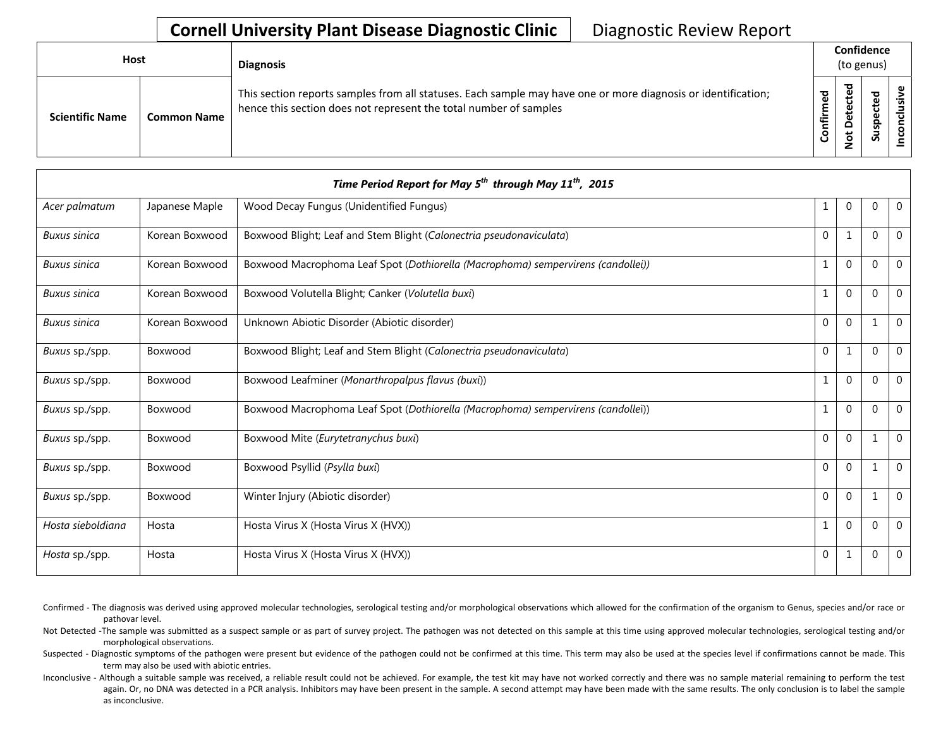## **Cornell University Plant Disease Diagnostic Clinic** | Diagnostic Review Report

| <b>Host</b>            |                    | <b>Diagnosis</b>                                                                                                                                                                   |                  | Confidence<br>(to genus) |        |  |
|------------------------|--------------------|------------------------------------------------------------------------------------------------------------------------------------------------------------------------------------|------------------|--------------------------|--------|--|
| <b>Scientific Name</b> | <b>Common Name</b> | This section reports samples from all statuses. Each sample may have one or more diagnosis or identification;<br>hence this section does not represent the total number of samples | ठ<br>Φ<br>onfirm | ठ<br>۰                   | ₻<br>S |  |

|                     |                | Time Period Report for May 5 <sup>th</sup> through May 11 <sup>th</sup> , 2015   |              |                |              |                |
|---------------------|----------------|----------------------------------------------------------------------------------|--------------|----------------|--------------|----------------|
| Acer palmatum       | Japanese Maple | Wood Decay Fungus (Unidentified Fungus)                                          | 1            | $\mathbf 0$    | 0            | $\overline{0}$ |
| <b>Buxus sinica</b> | Korean Boxwood | Boxwood Blight; Leaf and Stem Blight (Calonectria pseudonaviculata)              | $\Omega$     | $\mathbf{1}$   | 0            | $\Omega$       |
| Buxus sinica        | Korean Boxwood | Boxwood Macrophoma Leaf Spot (Dothiorella (Macrophoma) sempervirens (candollei)) | 1            | 0              | $\mathbf 0$  | $\mathbf{0}$   |
| <b>Buxus sinica</b> | Korean Boxwood | Boxwood Volutella Blight; Canker (Volutella buxi)                                | $\mathbf{1}$ | $\mathbf 0$    | $\Omega$     | $\Omega$       |
| <b>Buxus sinica</b> | Korean Boxwood | Unknown Abiotic Disorder (Abiotic disorder)                                      | $\Omega$     | $\Omega$       | $\mathbf 1$  | $\Omega$       |
| Buxus sp./spp.      | Boxwood        | Boxwood Blight; Leaf and Stem Blight (Calonectria pseudonaviculata)              | $\mathbf 0$  | $\mathbf{1}$   | $\Omega$     | $\Omega$       |
| Buxus sp./spp.      | Boxwood        | Boxwood Leafminer (Monarthropalpus flavus (buxi))                                | $\mathbf{1}$ | $\mathbf 0$    | 0            | $\Omega$       |
| Buxus sp./spp.      | Boxwood        | Boxwood Macrophoma Leaf Spot (Dothiorella (Macrophoma) sempervirens (candollei)) | $\mathbf{1}$ | $\mathbf 0$    | $\Omega$     | $\mathbf 0$    |
| Buxus sp./spp.      | Boxwood        | Boxwood Mite (Eurytetranychus buxi)                                              | $\Omega$     | $\overline{0}$ | $\mathbf{1}$ | $\Omega$       |
| Buxus sp./spp.      | Boxwood        | Boxwood Psyllid (Psylla buxi)                                                    | $\Omega$     | $\Omega$       | -1           | $\Omega$       |
| Buxus sp./spp.      | Boxwood        | Winter Injury (Abiotic disorder)                                                 | $\Omega$     | $\Omega$       | -1           | $\Omega$       |
| Hosta sieboldiana   | Hosta          | Hosta Virus X (Hosta Virus X (HVX))                                              | $\mathbf{1}$ | $\Omega$       | 0            | $\mathbf{0}$   |
| Hosta sp./spp.      | Hosta          | Hosta Virus X (Hosta Virus X (HVX))                                              | $\mathbf{0}$ | 1              | 0            | $\overline{0}$ |

- Confirmed The diagnosis was derived using approved molecular technologies, serological testing and/or morphological observations which allowed for the confirmation of the organism to Genus, species and/or race or pathovar level.
- Not Detected -The sample was submitted as a suspect sample or as part of survey project. The pathogen was not detected on this sample at this time using approved molecular technologies, serological testing and/or morphological observations.
- Suspected Diagnostic symptoms of the pathogen were present but evidence of the pathogen could not be confirmed at this time. This term may also be used at the species level if confirmations cannot be made. This term may also be used with abiotic entries.
- Inconclusive Although a suitable sample was received, a reliable result could not be achieved. For example, the test kit may have not worked correctly and there was no sample material remaining to perform the test again. Or, no DNA was detected in a PCR analysis. Inhibitors may have been present in the sample. A second attempt may have been made with the same results. The only conclusion is to label the sample as inconclusive.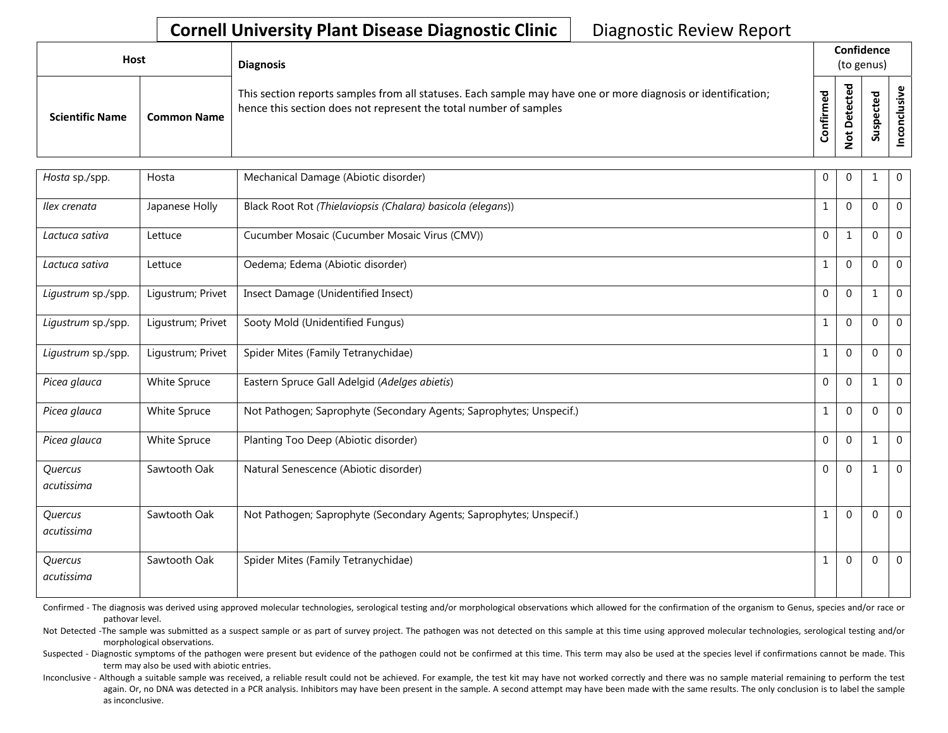## **Cornell University Plant Disease Diagnostic Clinic** | Diagnostic Review Report

| <b>Host</b>            |                    | <b>Diagnosis</b>                                                                                                                                                                   |                |                                   | Confidence<br>(to genus)               |  |
|------------------------|--------------------|------------------------------------------------------------------------------------------------------------------------------------------------------------------------------------|----------------|-----------------------------------|----------------------------------------|--|
| <b>Scientific Name</b> | <b>Common Name</b> | This section reports samples from all statuses. Each sample may have one or more diagnosis or identification;<br>hence this section does not represent the total number of samples | ᅙ<br>٤<br>nfir | ᅙ<br>cte<br>ق<br>ω<br>۵<br>پ<br>ۊ | ਠ<br>ஂ<br>ں<br>ഄ<br><u>င်္</u> မ<br>ທັ |  |

| Hosta sp./spp.        | Hosta             | Mechanical Damage (Abiotic disorder)                                | $\mathbf 0$  | $\Omega$ |             | $\mathbf 0$    |
|-----------------------|-------------------|---------------------------------------------------------------------|--------------|----------|-------------|----------------|
| Ilex crenata          | Japanese Holly    | Black Root Rot (Thielaviopsis (Chalara) basicola (elegans))         | 1            | $\Omega$ | $\mathbf 0$ | $\mathbf 0$    |
| Lactuca sativa        | Lettuce           | Cucumber Mosaic (Cucumber Mosaic Virus (CMV))                       | $\Omega$     | 1        | $\mathbf 0$ | $\overline{0}$ |
| Lactuca sativa        | Lettuce           | Oedema; Edema (Abiotic disorder)                                    | $\mathbf{1}$ | $\Omega$ | $\Omega$    | $\Omega$       |
| Ligustrum sp./spp.    | Ligustrum; Privet | Insect Damage (Unidentified Insect)                                 | $\Omega$     | $\Omega$ | 1           | $\Omega$       |
| Ligustrum sp./spp.    | Ligustrum; Privet | Sooty Mold (Unidentified Fungus)                                    | $\mathbf{1}$ | $\Omega$ | $\Omega$    | $\mathbf{0}$   |
| Ligustrum sp./spp.    | Ligustrum; Privet | Spider Mites (Family Tetranychidae)                                 |              | $\Omega$ | $\Omega$    | $\Omega$       |
| Picea glauca          | White Spruce      | Eastern Spruce Gall Adelgid (Adelges abietis)                       | $\Omega$     | $\Omega$ | 1           | $\mathbf 0$    |
| Picea glauca          | White Spruce      | Not Pathogen; Saprophyte (Secondary Agents; Saprophytes; Unspecif.) |              | $\Omega$ | $\Omega$    | $\Omega$       |
| Picea glauca          | White Spruce      | Planting Too Deep (Abiotic disorder)                                | $\Omega$     | $\Omega$ | 1           | $\mathbf 0$    |
| Quercus<br>acutissima | Sawtooth Oak      | Natural Senescence (Abiotic disorder)                               | $\Omega$     | $\Omega$ | 1           | $\overline{0}$ |
| Quercus<br>acutissima | Sawtooth Oak      | Not Pathogen; Saprophyte (Secondary Agents; Saprophytes; Unspecif.) | 1            | $\Omega$ | $\Omega$    | $\Omega$       |
| Quercus<br>acutissima | Sawtooth Oak      | Spider Mites (Family Tetranychidae)                                 |              | $\Omega$ | $\Omega$    | $\mathbf{0}$   |

Confirmed - The diagnosis was derived using approved molecular technologies, serological testing and/or morphological observations which allowed for the confirmation of the organism to Genus, species and/or race or pathovar level.

Not Detected -The sample was submitted as a suspect sample or as part of survey project. The pathogen was not detected on this sample at this time using approved molecular technologies, serological testing and/or morphological observations.

Suspected - Diagnostic symptoms of the pathogen were present but evidence of the pathogen could not be confirmed at this time. This term may also be used at the species level if confirmations cannot be made. This term may also be used with abiotic entries.

Inconclusive - Although a suitable sample was received, a reliable result could not be achieved. For example, the test kit may have not worked correctly and there was no sample material remaining to perform the test again. Or, no DNA was detected in a PCR analysis. Inhibitors may have been present in the sample. A second attempt may have been made with the same results. The only conclusion is to label the sample as inconclusive.